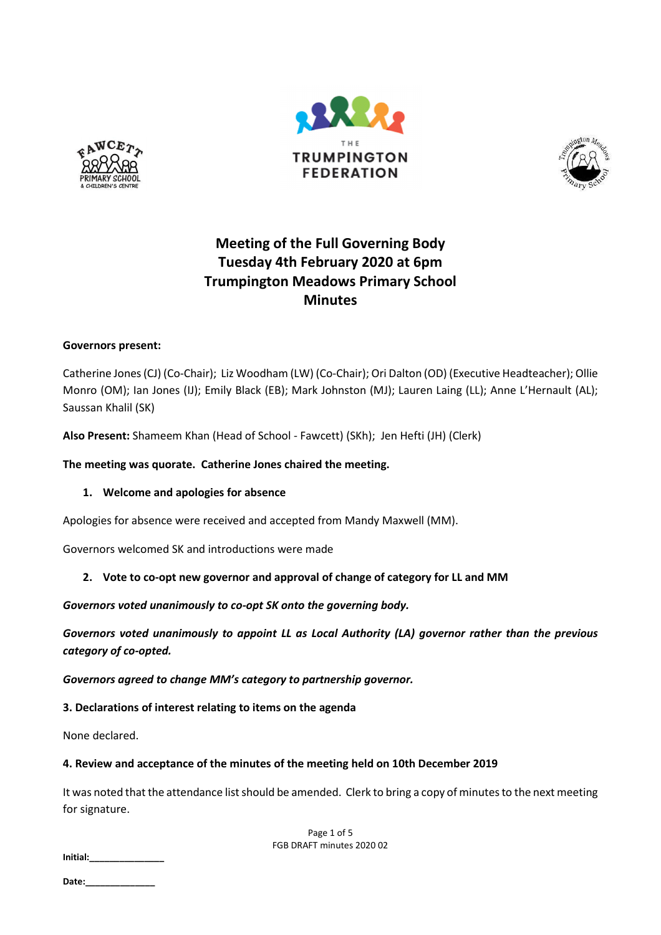





# **Meeting of the Full Governing Body Tuesday 4th February 2020 at 6pm Trumpington Meadows Primary School Minutes**

# **Governors present:**

Catherine Jones (CJ) (Co-Chair); Liz Woodham (LW) (Co-Chair); Ori Dalton (OD) (Executive Headteacher); Ollie Monro (OM); Ian Jones (IJ); Emily Black (EB); Mark Johnston (MJ); Lauren Laing (LL); Anne L'Hernault (AL); Saussan Khalil (SK)

**Also Present:** Shameem Khan (Head of School - Fawcett) (SKh); Jen Hefti (JH) (Clerk)

**The meeting was quorate. Catherine Jones chaired the meeting.** 

# **1. Welcome and apologies for absence**

Apologies for absence were received and accepted from Mandy Maxwell (MM).

Governors welcomed SK and introductions were made

# **2. Vote to co-opt new governor and approval of change of category for LL and MM**

*Governors voted unanimously to co-opt SK onto the governing body.* 

*Governors voted unanimously to appoint LL as Local Authority (LA) governor rather than the previous category of co-opted.* 

*Governors agreed to change MM's category to partnership governor.* 

**3. Declarations of interest relating to items on the agenda** 

None declared.

# **4. Review and acceptance of the minutes of the meeting held on 10th December 2019**

It was noted that the attendance list should be amended. Clerk to bring a copy of minutes to the next meeting for signature.

> Page 1 of 5 FGB DRAFT minutes 2020 02

**Initial:\_\_\_\_\_\_\_\_\_\_\_\_\_\_\_** 

**Date:\_\_\_\_\_\_\_\_\_\_\_\_\_\_**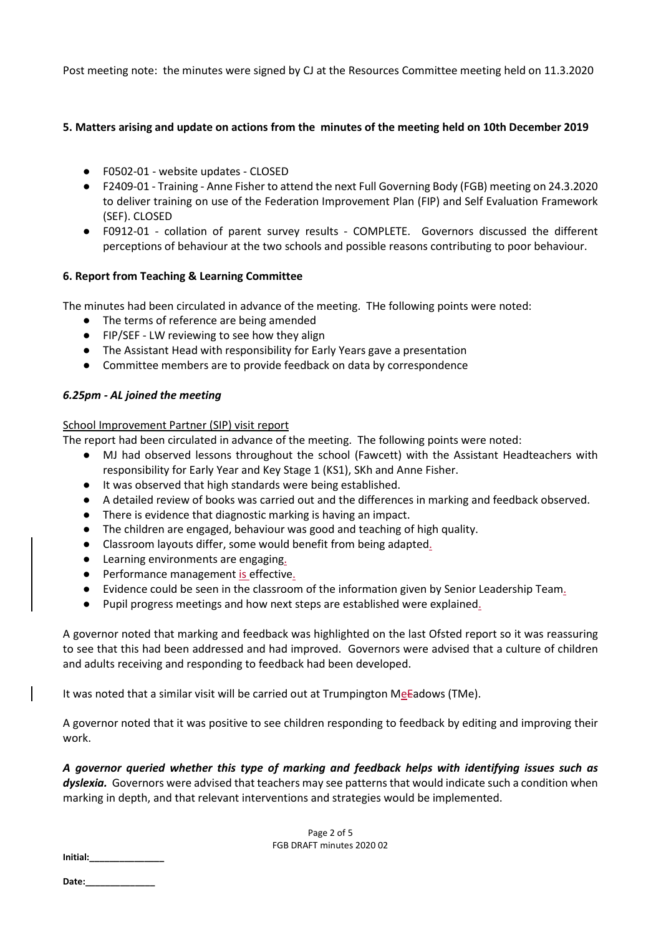Post meeting note: the minutes were signed by CJ at the Resources Committee meeting held on 11.3.2020

## **5. Matters arising and update on actions from the minutes of the meeting held on 10th December 2019**

- F0502-01 website updates CLOSED
- F2409-01 Training Anne Fisher to attend the next Full Governing Body (FGB) meeting on 24.3.2020 to deliver training on use of the Federation Improvement Plan (FIP) and Self Evaluation Framework (SEF). CLOSED
- F0912-01 collation of parent survey results COMPLETE. Governors discussed the different perceptions of behaviour at the two schools and possible reasons contributing to poor behaviour.

## **6. Report from Teaching & Learning Committee**

The minutes had been circulated in advance of the meeting. THe following points were noted:

- The terms of reference are being amended
- FIP/SEF LW reviewing to see how they align
- The Assistant Head with responsibility for Early Years gave a presentation
- Committee members are to provide feedback on data by correspondence

# *6.25pm - AL joined the meeting*

## School Improvement Partner (SIP) visit report

The report had been circulated in advance of the meeting. The following points were noted:

- MJ had observed lessons throughout the school (Fawcett) with the Assistant Headteachers with responsibility for Early Year and Key Stage 1 (KS1), SKh and Anne Fisher.
- It was observed that high standards were being established.
- A detailed review of books was carried out and the differences in marking and feedback observed.
- There is evidence that diagnostic marking is having an impact.
- The children are engaged, behaviour was good and teaching of high quality.
- Classroom layouts differ, some would benefit from being adapted.
- Learning environments are engaging.
- Performance management is effective.
- Evidence could be seen in the classroom of the information given by Senior Leadership Team.
- Pupil progress meetings and how next steps are established were explained.

A governor noted that marking and feedback was highlighted on the last Ofsted report so it was reassuring to see that this had been addressed and had improved. Governors were advised that a culture of children and adults receiving and responding to feedback had been developed.

It was noted that a similar visit will be carried out at Trumpington MeEadows (TMe).

A governor noted that it was positive to see children responding to feedback by editing and improving their work.

*A governor queried whether this type of marking and feedback helps with identifying issues such as dyslexia.* Governors were advised that teachers may see patterns that would indicate such a condition when marking in depth, and that relevant interventions and strategies would be implemented.

> Page 2 of 5 FGB DRAFT minutes 2020 02

**Initial:\_\_\_\_\_\_\_\_\_\_\_\_\_\_\_** 

**Date:\_\_\_\_\_\_\_\_\_\_\_\_\_\_**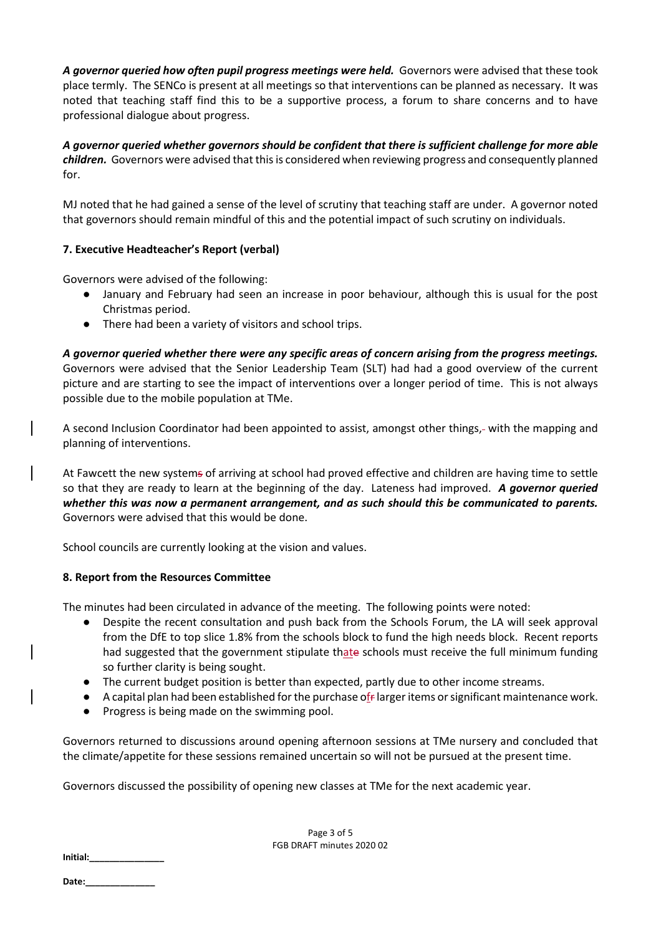*A governor queried how often pupil progress meetings were held.* Governors were advised that these took place termly. The SENCo is present at all meetings so that interventions can be planned as necessary. It was noted that teaching staff find this to be a supportive process, a forum to share concerns and to have professional dialogue about progress.

*A governor queried whether governors should be confident that there is sufficient challenge for more able children.* Governors were advised that this is considered when reviewing progress and consequently planned for.

MJ noted that he had gained a sense of the level of scrutiny that teaching staff are under. A governor noted that governors should remain mindful of this and the potential impact of such scrutiny on individuals.

# **7. Executive Headteacher's Report (verbal)**

Governors were advised of the following:

- January and February had seen an increase in poor behaviour, although this is usual for the post Christmas period.
- There had been a variety of visitors and school trips.

*A governor queried whether there were any specific areas of concern arising from the progress meetings.*  Governors were advised that the Senior Leadership Team (SLT) had had a good overview of the current picture and are starting to see the impact of interventions over a longer period of time. This is not always possible due to the mobile population at TMe.

A second Inclusion Coordinator had been appointed to assist, amongst other things,- with the mapping and planning of interventions.

At Fawcett the new systems of arriving at school had proved effective and children are having time to settle so that they are ready to learn at the beginning of the day. Lateness had improved. *A governor queried whether this was now a permanent arrangement, and as such should this be communicated to parents.*  Governors were advised that this would be done.

School councils are currently looking at the vision and values.

# **8. Report from the Resources Committee**

The minutes had been circulated in advance of the meeting. The following points were noted:

- Despite the recent consultation and push back from the Schools Forum, the LA will seek approval from the DfE to top slice 1.8% from the schools block to fund the high needs block. Recent reports had suggested that the government stipulate thate schools must receive the full minimum funding so further clarity is being sought.
- The current budget position is better than expected, partly due to other income streams.
- A capital plan had been established for the purchase of flarger items or significant maintenance work.
- Progress is being made on the swimming pool.

Governors returned to discussions around opening afternoon sessions at TMe nursery and concluded that the climate/appetite for these sessions remained uncertain so will not be pursued at the present time.

Governors discussed the possibility of opening new classes at TMe for the next academic year.

Page 3 of 5 FGB DRAFT minutes 2020 02

**Initial:\_\_\_\_\_\_\_\_\_\_\_\_\_\_\_** 

Date: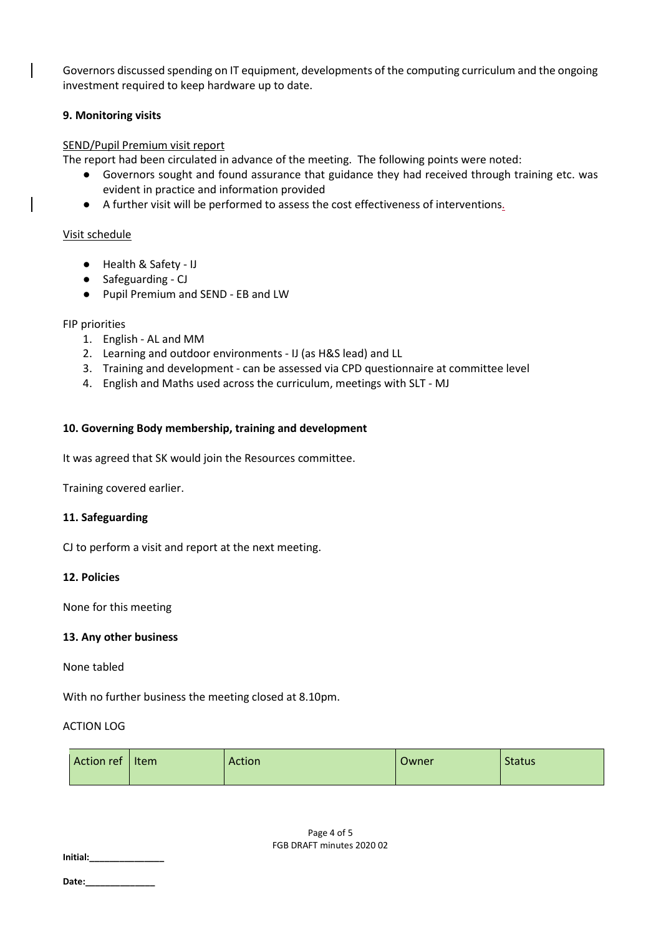Governors discussed spending on IT equipment, developments of the computing curriculum and the ongoing investment required to keep hardware up to date.

#### **9. Monitoring visits**

#### SEND/Pupil Premium visit report

The report had been circulated in advance of the meeting. The following points were noted:

- Governors sought and found assurance that guidance they had received through training etc. was evident in practice and information provided
- A further visit will be performed to assess the cost effectiveness of interventions.

#### Visit schedule

- Health & Safety IJ
- Safeguarding CJ
- Pupil Premium and SEND EB and LW

#### FIP priorities

- 1. English AL and MM
- 2. Learning and outdoor environments IJ (as H&S lead) and LL
- 3. Training and development can be assessed via CPD questionnaire at committee level
- 4. English and Maths used across the curriculum, meetings with SLT MJ

## **10. Governing Body membership, training and development**

It was agreed that SK would join the Resources committee.

Training covered earlier.

#### **11. Safeguarding**

CJ to perform a visit and report at the next meeting.

#### **12. Policies**

None for this meeting

#### **13. Any other business**

None tabled

With no further business the meeting closed at 8.10pm.

#### ACTION LOG

| Action ref   Item |  | Action | Owner | <b>Status</b> |
|-------------------|--|--------|-------|---------------|
|-------------------|--|--------|-------|---------------|

**Initial:\_\_\_\_\_\_\_\_\_\_\_\_\_\_\_** 

**Date:\_\_\_\_\_\_\_\_\_\_\_\_\_\_**